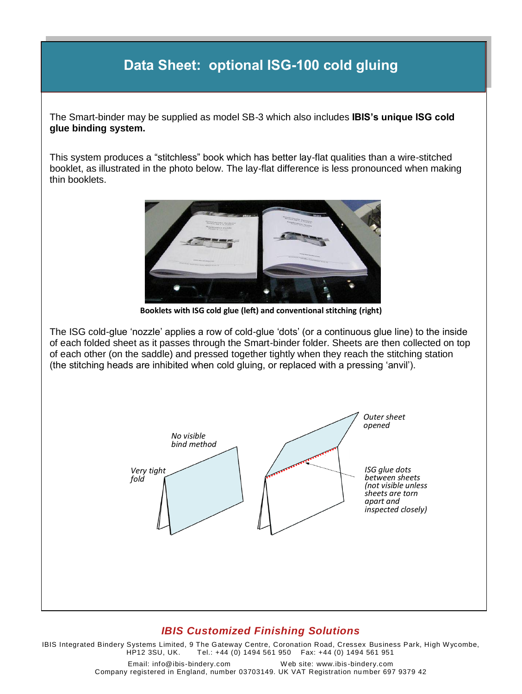## **Data Sheet: optional ISG-100 cold gluing**

The Smart-binder may be supplied as model SB-3 which also includes **IBIS's unique ISG cold glue binding system.**

This system produces a "stitchless" book which has better lay-flat qualities than a wire-stitched booklet, as illustrated in the photo below. The lay-flat difference is less pronounced when making thin booklets.



**Booklets with ISG cold glue (left) and conventional stitching (right)**

The ISG cold-glue 'nozzle' applies a row of cold-glue 'dots' (or a continuous glue line) to the inside of each folded sheet as it passes through the Smart-binder folder. Sheets are then collected on top of each other (on the saddle) and pressed together tightly when they reach the stitching station (the stitching heads are inhibited when cold gluing, or replaced with a pressing 'anvil').



## *IBIS Customized Finishing Solutions*

IBIS Integrated Bindery Systems Limited, 9 The Gateway Centre, Coronation Road, Cressex Business Park, High Wycombe,<br>HP12 3SU, UK. Tel.: +44 (0) 1494 561 950 Fax: +44 (0) 1494 561 951 Tel.: +44 (0) 1494 561 950 Fax: +44 (0) 1494 561 951

> Email: info@ibis-bindery.com Web site: www.ibis-bindery.com Company registered in England, number 03703149. UK VAT Registration number 697 9379 42